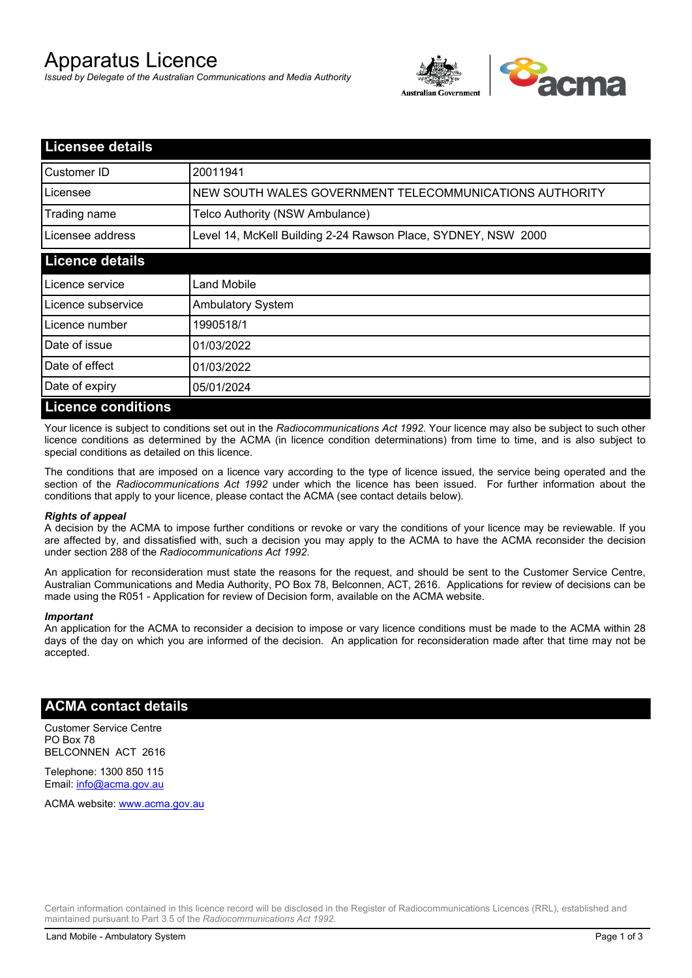# Apparatus Licence

*Issued by Delegate of the Australian Communications and Media Authority*



| <b>Licensee details</b>   |                                                               |
|---------------------------|---------------------------------------------------------------|
| Customer ID               | 20011941                                                      |
| Licensee                  | NEW SOUTH WALES GOVERNMENT TELECOMMUNICATIONS AUTHORITY       |
| Trading name              | Telco Authority (NSW Ambulance)                               |
| Licensee address          | Level 14, McKell Building 2-24 Rawson Place, SYDNEY, NSW 2000 |
| <b>Licence details</b>    |                                                               |
| Licence service           | Land Mobile                                                   |
| Licence subservice        | <b>Ambulatory System</b>                                      |
| Licence number            | 1990518/1                                                     |
| Date of issue             | 01/03/2022                                                    |
| Date of effect            | 01/03/2022                                                    |
| Date of expiry            | 05/01/2024                                                    |
| <b>Licence conditions</b> |                                                               |

Your licence is subject to conditions set out in the *Radiocommunications Act 1992*. Your licence may also be subject to such other licence conditions as determined by the ACMA (in licence condition determinations) from time to time, and is also subject to special conditions as detailed on this licence.

The conditions that are imposed on a licence vary according to the type of licence issued, the service being operated and the section of the *Radiocommunications Act 1992* under which the licence has been issued. For further information about the conditions that apply to your licence, please contact the ACMA (see contact details below).

#### *Rights of appeal*

A decision by the ACMA to impose further conditions or revoke or vary the conditions of your licence may be reviewable. If you are affected by, and dissatisfied with, such a decision you may apply to the ACMA to have the ACMA reconsider the decision under section 288 of the *Radiocommunications Act 1992*.

An application for reconsideration must state the reasons for the request, and should be sent to the Customer Service Centre, Australian Communications and Media Authority, PO Box 78, Belconnen, ACT, 2616. Applications for review of decisions can be made using the R051 - Application for review of Decision form, available on the ACMA website.

#### *Important*

An application for the ACMA to reconsider a decision to impose or vary licence conditions must be made to the ACMA within 28 days of the day on which you are informed of the decision. An application for reconsideration made after that time may not be accepted.

#### **ACMA contact details**

Customer Service Centre PO Box 78 BELCONNEN ACT 2616

Telephone: 1300 850 115 Email: info@acma.gov.au

ACMA website: www.acma.gov.au

Certain information contained in this licence record will be disclosed in the Register of Radiocommunications Licences (RRL), established and maintained pursuant to Part 3.5 of the *Radiocommunications Act 1992.*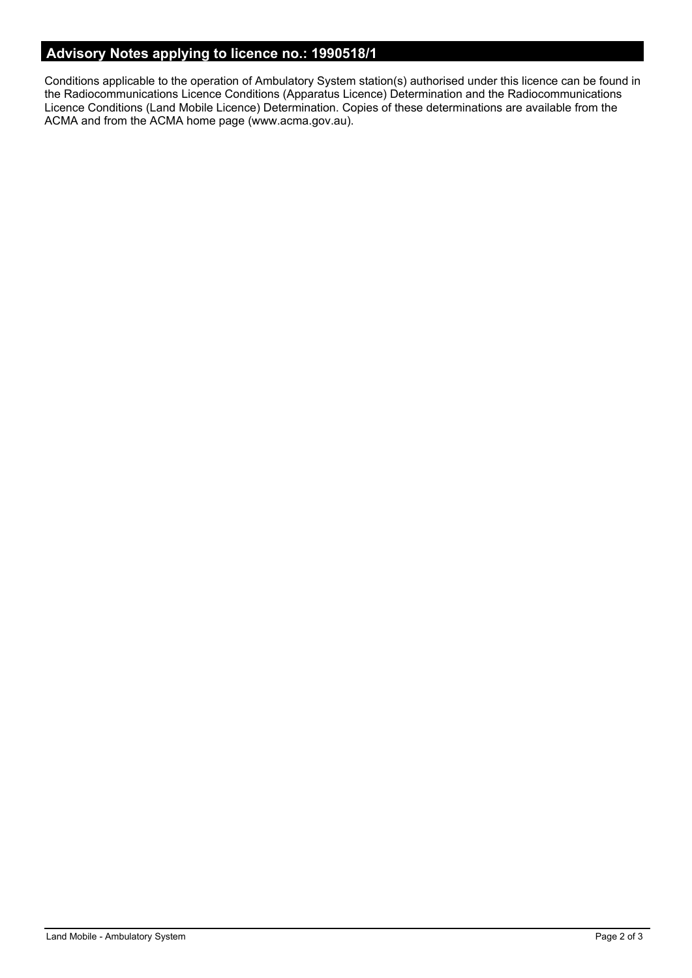### **Advisory Notes applying to licence no.: 1990518/1**

Conditions applicable to the operation of Ambulatory System station(s) authorised under this licence can be found in the Radiocommunications Licence Conditions (Apparatus Licence) Determination and the Radiocommunications Licence Conditions (Land Mobile Licence) Determination. Copies of these determinations are available from the ACMA and from the ACMA home page (www.acma.gov.au).